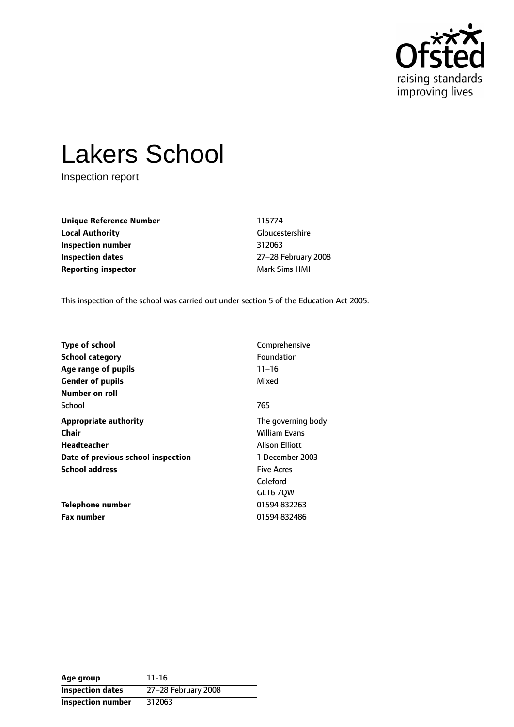

# Lakers School

Inspection report

**Unique Reference Number** 115774 **Local Authority** Gloucestershire **Inspection number** 312063 **Inspection dates** 27-28 February 2008 **Reporting inspector Mark Sims HMI** 

This inspection of the school was carried out under section 5 of the Education Act 2005.

| <b>Type of school</b>              | Comprehensive                             |
|------------------------------------|-------------------------------------------|
| <b>School category</b>             | Foundation                                |
| Age range of pupils                | $11 - 16$                                 |
| <b>Gender of pupils</b>            | Mixed                                     |
| Number on roll<br>School           | 765                                       |
| <b>Appropriate authority</b>       | The governing body                        |
| Chair                              | <b>William Evans</b>                      |
| Headteacher                        | <b>Alison Elliott</b>                     |
| Date of previous school inspection | 1 December 2003                           |
| <b>School address</b>              | <b>Five Acres</b><br>Coleford<br>GL16 70W |
| Telephone number                   | 01594 832263                              |
| <b>Fax number</b>                  | 01594 832486                              |

**Age group** 11-16 **Inspection dates** 27-28 February 2008 **Inspection number** 312063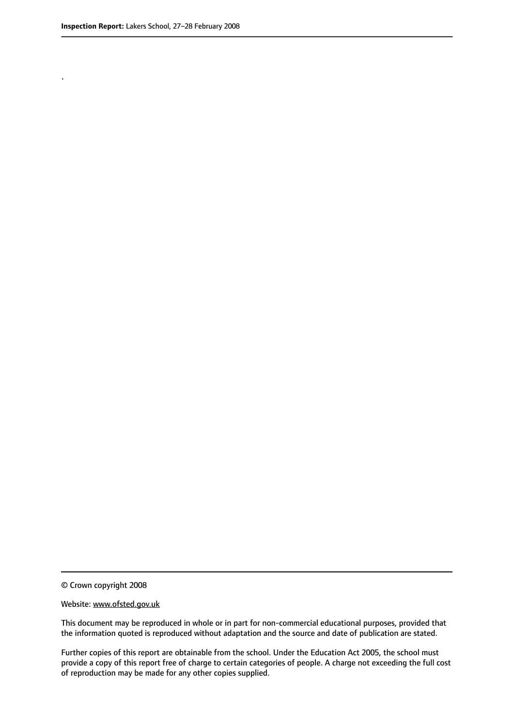.

© Crown copyright 2008

#### Website: www.ofsted.gov.uk

This document may be reproduced in whole or in part for non-commercial educational purposes, provided that the information quoted is reproduced without adaptation and the source and date of publication are stated.

Further copies of this report are obtainable from the school. Under the Education Act 2005, the school must provide a copy of this report free of charge to certain categories of people. A charge not exceeding the full cost of reproduction may be made for any other copies supplied.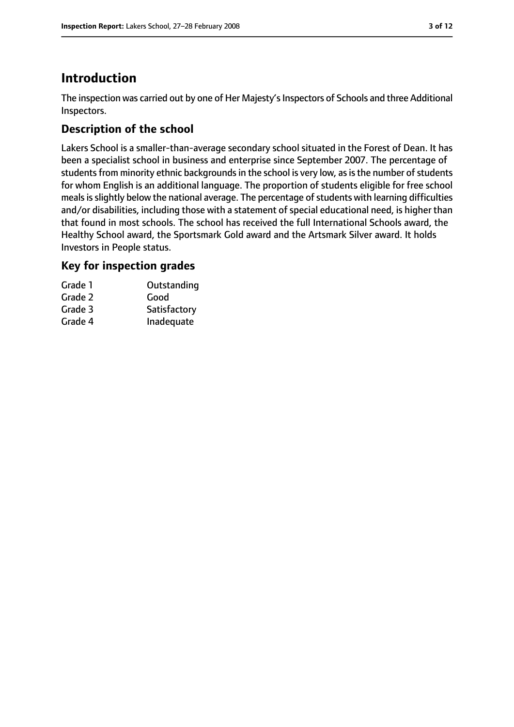# **Introduction**

The inspection was carried out by one of Her Majesty's Inspectors of Schools and three Additional Inspectors.

## **Description of the school**

Lakers School is a smaller-than-average secondary school situated in the Forest of Dean. It has been a specialist school in business and enterprise since September 2007. The percentage of students from minority ethnic backgrounds in the school is very low, as is the number of students for whom English is an additional language. The proportion of students eligible for free school meals is slightly below the national average. The percentage of students with learning difficulties and/or disabilities, including those with a statement of special educational need, is higher than that found in most schools. The school has received the full International Schools award, the Healthy School award, the Sportsmark Gold award and the Artsmark Silver award. It holds Investors in People status.

## **Key for inspection grades**

| Outstanding  |
|--------------|
| Good         |
| Satisfactory |
| Inadequate   |
|              |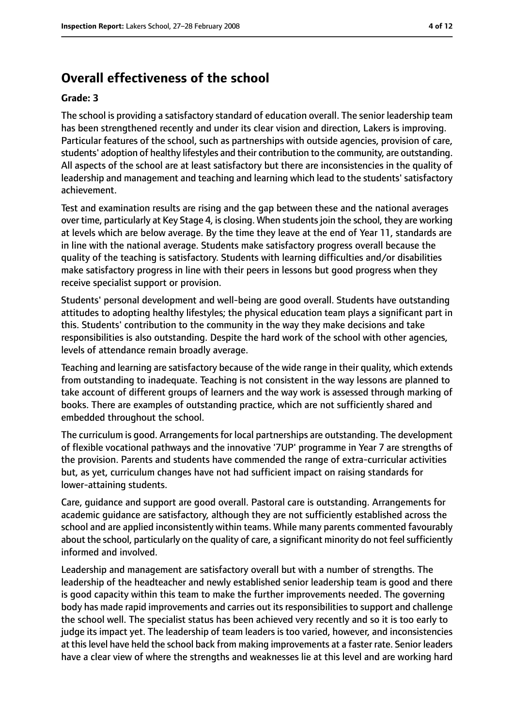# **Overall effectiveness of the school**

#### **Grade: 3**

The school is providing a satisfactory standard of education overall. The senior leadership team has been strengthened recently and under its clear vision and direction, Lakers is improving. Particular features of the school, such as partnerships with outside agencies, provision of care, students' adoption of healthy lifestyles and their contribution to the community, are outstanding. All aspects of the school are at least satisfactory but there are inconsistencies in the quality of leadership and management and teaching and learning which lead to the students' satisfactory achievement.

Test and examination results are rising and the gap between these and the national averages over time, particularly at Key Stage 4, is closing. When students join the school, they are working at levels which are below average. By the time they leave at the end of Year 11, standards are in line with the national average. Students make satisfactory progress overall because the quality of the teaching is satisfactory. Students with learning difficulties and/or disabilities make satisfactory progress in line with their peers in lessons but good progress when they receive specialist support or provision.

Students' personal development and well-being are good overall. Students have outstanding attitudes to adopting healthy lifestyles; the physical education team plays a significant part in this. Students' contribution to the community in the way they make decisions and take responsibilities is also outstanding. Despite the hard work of the school with other agencies, levels of attendance remain broadly average.

Teaching and learning are satisfactory because of the wide range in their quality, which extends from outstanding to inadequate. Teaching is not consistent in the way lessons are planned to take account of different groups of learners and the way work is assessed through marking of books. There are examples of outstanding practice, which are not sufficiently shared and embedded throughout the school.

The curriculum is good. Arrangements for local partnerships are outstanding. The development of flexible vocational pathways and the innovative '7UP' programme in Year 7 are strengths of the provision. Parents and students have commended the range of extra-curricular activities but, as yet, curriculum changes have not had sufficient impact on raising standards for lower-attaining students.

Care, guidance and support are good overall. Pastoral care is outstanding. Arrangements for academic guidance are satisfactory, although they are not sufficiently established across the school and are applied inconsistently within teams. While many parents commented favourably about the school, particularly on the quality of care, a significant minority do not feel sufficiently informed and involved.

Leadership and management are satisfactory overall but with a number of strengths. The leadership of the headteacher and newly established senior leadership team is good and there is good capacity within this team to make the further improvements needed. The governing body has made rapid improvements and carries out its responsibilities to support and challenge the school well. The specialist status has been achieved very recently and so it is too early to judge its impact yet. The leadership of team leaders is too varied, however, and inconsistencies at thislevel have held the school back from making improvements at a faster rate. Senior leaders have a clear view of where the strengths and weaknesses lie at this level and are working hard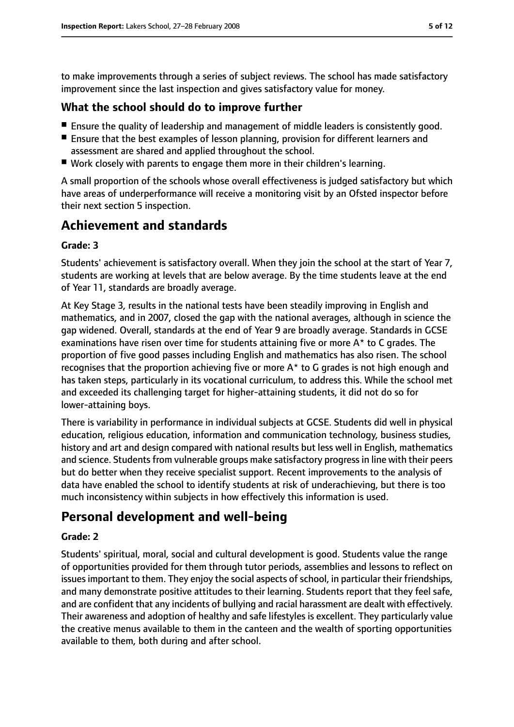to make improvements through a series of subject reviews. The school has made satisfactory improvement since the last inspection and gives satisfactory value for money.

### **What the school should do to improve further**

- Ensure the quality of leadership and management of middle leaders is consistently good.
- Ensure that the best examples of lesson planning, provision for different learners and assessment are shared and applied throughout the school.
- Work closely with parents to engage them more in their children's learning.

A small proportion of the schools whose overall effectiveness is judged satisfactory but which have areas of underperformance will receive a monitoring visit by an Ofsted inspector before their next section 5 inspection.

## **Achievement and standards**

#### **Grade: 3**

Students' achievement is satisfactory overall. When they join the school at the start of Year 7, students are working at levels that are below average. By the time students leave at the end of Year 11, standards are broadly average.

At Key Stage 3, results in the national tests have been steadily improving in English and mathematics, and in 2007, closed the gap with the national averages, although in science the gap widened. Overall, standards at the end of Year 9 are broadly average. Standards in GCSE examinations have risen over time for students attaining five or more A\* to C grades. The proportion of five good passes including English and mathematics has also risen. The school recognises that the proportion achieving five or more A\* to G grades is not high enough and has taken steps, particularly in its vocational curriculum, to address this. While the school met and exceeded its challenging target for higher-attaining students, it did not do so for lower-attaining boys.

There is variability in performance in individual subjects at GCSE. Students did well in physical education, religious education, information and communication technology, business studies, history and art and design compared with national results but less well in English, mathematics and science. Students from vulnerable groups make satisfactory progress in line with their peers but do better when they receive specialist support. Recent improvements to the analysis of data have enabled the school to identify students at risk of underachieving, but there is too much inconsistency within subjects in how effectively this information is used.

## **Personal development and well-being**

#### **Grade: 2**

Students' spiritual, moral, social and cultural development is good. Students value the range of opportunities provided for them through tutor periods, assemblies and lessons to reflect on issues important to them. They enjoy the social aspects of school, in particular their friendships, and many demonstrate positive attitudes to their learning. Students report that they feel safe, and are confident that any incidents of bullying and racial harassment are dealt with effectively. Their awareness and adoption of healthy and safe lifestyles is excellent. They particularly value the creative menus available to them in the canteen and the wealth of sporting opportunities available to them, both during and after school.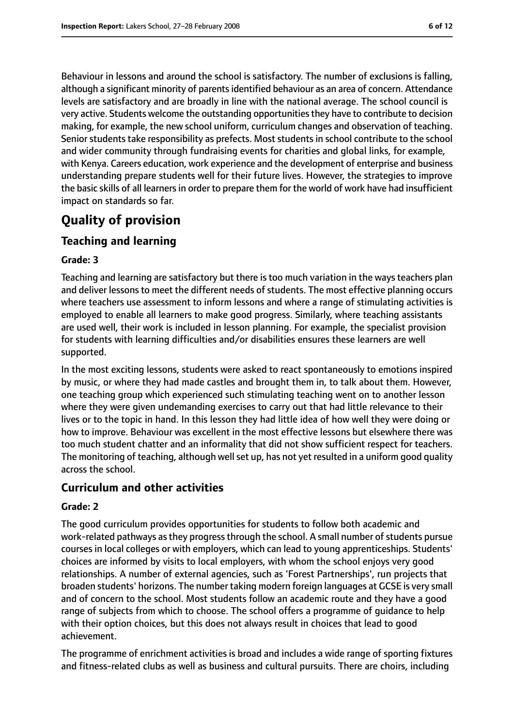Behaviour in lessons and around the school is satisfactory. The number of exclusions is falling, although a significant minority of parentsidentified behaviour as an area of concern. Attendance levels are satisfactory and are broadly in line with the national average. The school council is very active. Students welcome the outstanding opportunitiesthey have to contribute to decision making, for example, the new school uniform, curriculum changes and observation of teaching. Senior students take responsibility as prefects. Most students in school contribute to the school and wider community through fundraising events for charities and global links, for example, with Kenya. Careers education, work experience and the development of enterprise and business understanding prepare students well for their future lives. However, the strategies to improve the basic skills of all learners in order to prepare them for the world of work have had insufficient impact on standards so far.

# **Quality of provision**

## **Teaching and learning**

#### **Grade: 3**

Teaching and learning are satisfactory but there is too much variation in the ways teachers plan and deliver lessons to meet the different needs of students. The most effective planning occurs where teachers use assessment to inform lessons and where a range of stimulating activities is employed to enable all learners to make good progress. Similarly, where teaching assistants are used well, their work is included in lesson planning. For example, the specialist provision for students with learning difficulties and/or disabilities ensures these learners are well supported.

In the most exciting lessons, students were asked to react spontaneously to emotions inspired by music, or where they had made castles and brought them in, to talk about them. However, one teaching group which experienced such stimulating teaching went on to another lesson where they were given undemanding exercises to carry out that had little relevance to their lives or to the topic in hand. In this lesson they had little idea of how well they were doing or how to improve. Behaviour was excellent in the most effective lessons but elsewhere there was too much student chatter and an informality that did not show sufficient respect for teachers. The monitoring of teaching, although well set up, has not yet resulted in a uniform good quality across the school.

#### **Curriculum and other activities**

#### **Grade: 2**

The good curriculum provides opportunities for students to follow both academic and work-related pathways as they progress through the school. A small number of students pursue courses in local colleges or with employers, which can lead to young apprenticeships. Students' choices are informed by visits to local employers, with whom the school enjoys very good relationships. A number of external agencies, such as 'Forest Partnerships', run projects that broaden students' horizons. The number taking modern foreign languages at GCSE is very small and of concern to the school. Most students follow an academic route and they have a good range of subjects from which to choose. The school offers a programme of guidance to help with their option choices, but this does not always result in choices that lead to good achievement.

The programme of enrichment activities is broad and includes a wide range of sporting fixtures and fitness-related clubs as well as business and cultural pursuits. There are choirs, including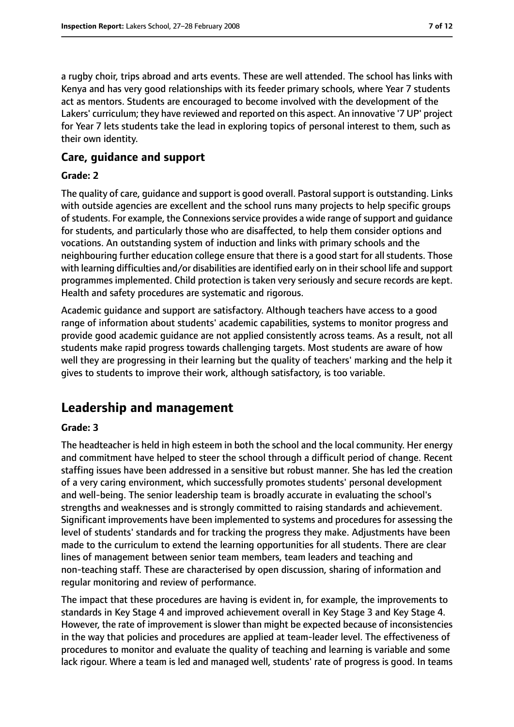a rugby choir, trips abroad and arts events. These are well attended. The school has links with Kenya and has very good relationships with its feeder primary schools, where Year 7 students act as mentors. Students are encouraged to become involved with the development of the Lakers' curriculum; they have reviewed and reported on this aspect. An innovative '7 UP' project for Year 7 lets students take the lead in exploring topics of personal interest to them, such as their own identity.

### **Care, guidance and support**

#### **Grade: 2**

The quality of care, guidance and support is good overall. Pastoral support is outstanding. Links with outside agencies are excellent and the school runs many projects to help specific groups of students. For example, the Connexions service provides a wide range of support and quidance for students, and particularly those who are disaffected, to help them consider options and vocations. An outstanding system of induction and links with primary schools and the neighbouring further education college ensure that there is a good start for all students. Those with learning difficulties and/or disabilities are identified early on in their school life and support programmes implemented. Child protection is taken very seriously and secure records are kept. Health and safety procedures are systematic and rigorous.

Academic guidance and support are satisfactory. Although teachers have access to a good range of information about students' academic capabilities, systems to monitor progress and provide good academic guidance are not applied consistently across teams. As a result, not all students make rapid progress towards challenging targets. Most students are aware of how well they are progressing in their learning but the quality of teachers' marking and the help it gives to students to improve their work, although satisfactory, is too variable.

# **Leadership and management**

#### **Grade: 3**

The headteacher is held in high esteem in both the school and the local community. Her energy and commitment have helped to steer the school through a difficult period of change. Recent staffing issues have been addressed in a sensitive but robust manner. She has led the creation of a very caring environment, which successfully promotes students' personal development and well-being. The senior leadership team is broadly accurate in evaluating the school's strengths and weaknesses and is strongly committed to raising standards and achievement. Significant improvements have been implemented to systems and procedures for assessing the level of students' standards and for tracking the progress they make. Adjustments have been made to the curriculum to extend the learning opportunities for all students. There are clear lines of management between senior team members, team leaders and teaching and non-teaching staff. These are characterised by open discussion, sharing of information and regular monitoring and review of performance.

The impact that these procedures are having is evident in, for example, the improvements to standards in Key Stage 4 and improved achievement overall in Key Stage 3 and Key Stage 4. However, the rate of improvement is slower than might be expected because of inconsistencies in the way that policies and procedures are applied at team-leader level. The effectiveness of procedures to monitor and evaluate the quality of teaching and learning is variable and some lack rigour. Where a team is led and managed well, students' rate of progress is good. In teams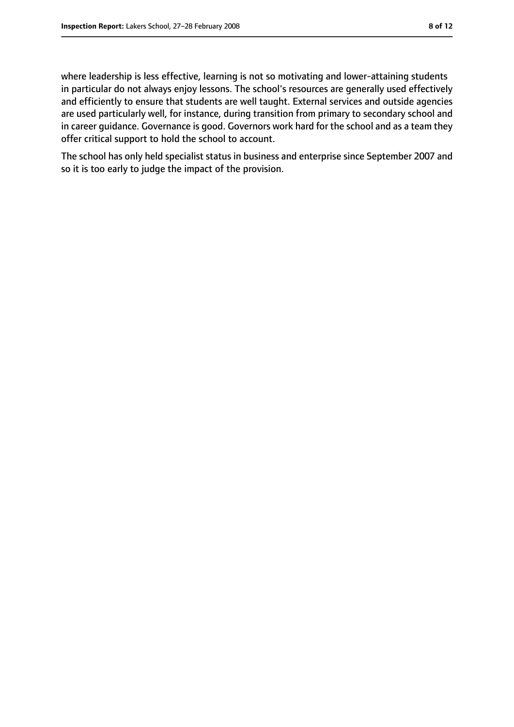where leadership is less effective, learning is not so motivating and lower-attaining students in particular do not always enjoy lessons. The school's resources are generally used effectively and efficiently to ensure that students are well taught. External services and outside agencies are used particularly well, for instance, during transition from primary to secondary school and in career guidance. Governance is good. Governors work hard for the school and as a team they offer critical support to hold the school to account.

The school has only held specialist status in business and enterprise since September 2007 and so it is too early to judge the impact of the provision.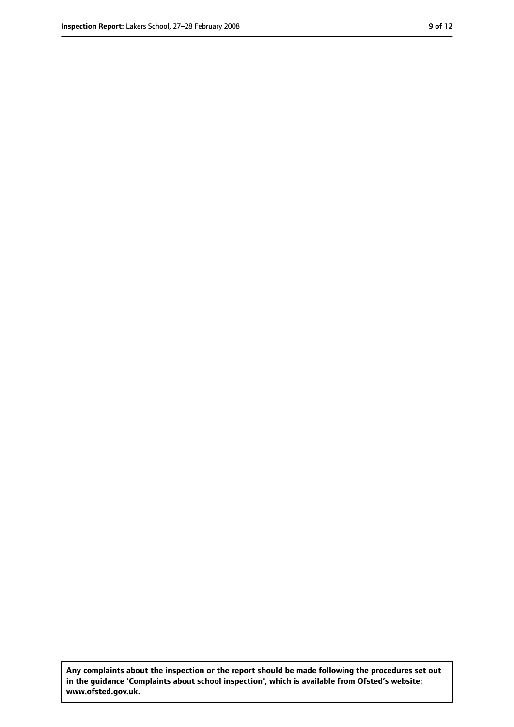**Any complaints about the inspection or the report should be made following the procedures set out in the guidance 'Complaints about school inspection', which is available from Ofsted's website: www.ofsted.gov.uk.**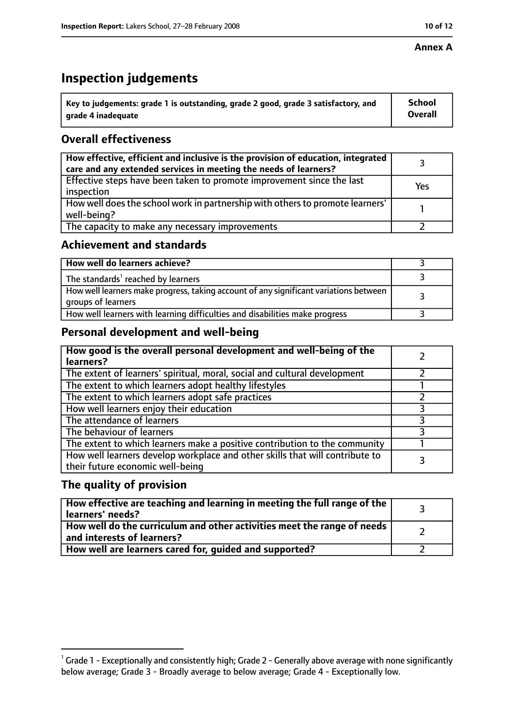#### **Annex A**

# **Inspection judgements**

| $\lq$ Key to judgements: grade 1 is outstanding, grade 2 good, grade 3 satisfactory, and | <b>School</b>  |
|------------------------------------------------------------------------------------------|----------------|
| arade 4 inadequate                                                                       | <b>Overall</b> |

## **Overall effectiveness**

| How effective, efficient and inclusive is the provision of education, integrated<br>care and any extended services in meeting the needs of learners? |     |
|------------------------------------------------------------------------------------------------------------------------------------------------------|-----|
| Effective steps have been taken to promote improvement since the last<br>inspection                                                                  | Yes |
| How well does the school work in partnership with others to promote learners'<br>well-being?                                                         |     |
| The capacity to make any necessary improvements                                                                                                      |     |

## **Achievement and standards**

| How well do learners achieve?                                                                               |  |
|-------------------------------------------------------------------------------------------------------------|--|
| The standards <sup>1</sup> reached by learners                                                              |  |
| How well learners make progress, taking account of any significant variations between<br>groups of learners |  |
| How well learners with learning difficulties and disabilities make progress                                 |  |

## **Personal development and well-being**

| How good is the overall personal development and well-being of the<br>learners?                                  |   |
|------------------------------------------------------------------------------------------------------------------|---|
| The extent of learners' spiritual, moral, social and cultural development                                        |   |
| The extent to which learners adopt healthy lifestyles                                                            |   |
| The extent to which learners adopt safe practices                                                                |   |
| How well learners enjoy their education                                                                          | 3 |
| The attendance of learners                                                                                       |   |
| The behaviour of learners                                                                                        |   |
| The extent to which learners make a positive contribution to the community                                       |   |
| How well learners develop workplace and other skills that will contribute to<br>their future economic well-being |   |

#### **The quality of provision**

| How effective are teaching and learning in meeting the full range of the<br>learners' needs?          |  |
|-------------------------------------------------------------------------------------------------------|--|
| How well do the curriculum and other activities meet the range of needs<br>and interests of learners? |  |
| How well are learners cared for, guided and supported?                                                |  |

 $^1$  Grade 1 - Exceptionally and consistently high; Grade 2 - Generally above average with none significantly below average; Grade 3 - Broadly average to below average; Grade 4 - Exceptionally low.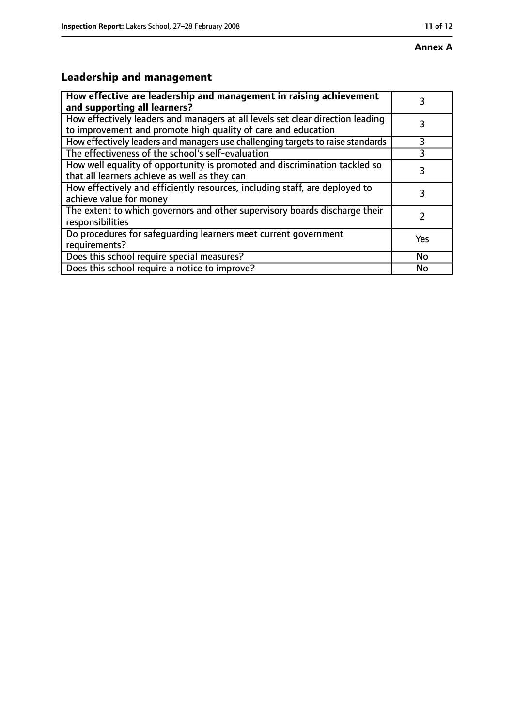# **Annex A**

# **Leadership and management**

| How effective are leadership and management in raising achievement<br>and supporting all learners?                                              | 3   |
|-------------------------------------------------------------------------------------------------------------------------------------------------|-----|
| How effectively leaders and managers at all levels set clear direction leading<br>to improvement and promote high quality of care and education |     |
| How effectively leaders and managers use challenging targets to raise standards                                                                 | 3   |
| The effectiveness of the school's self-evaluation                                                                                               |     |
| How well equality of opportunity is promoted and discrimination tackled so<br>that all learners achieve as well as they can                     | 3   |
| How effectively and efficiently resources, including staff, are deployed to<br>achieve value for money                                          | 3   |
| The extent to which governors and other supervisory boards discharge their<br>responsibilities                                                  |     |
| Do procedures for safequarding learners meet current government<br>requirements?                                                                | Yes |
| Does this school require special measures?                                                                                                      | No  |
| Does this school require a notice to improve?                                                                                                   | No  |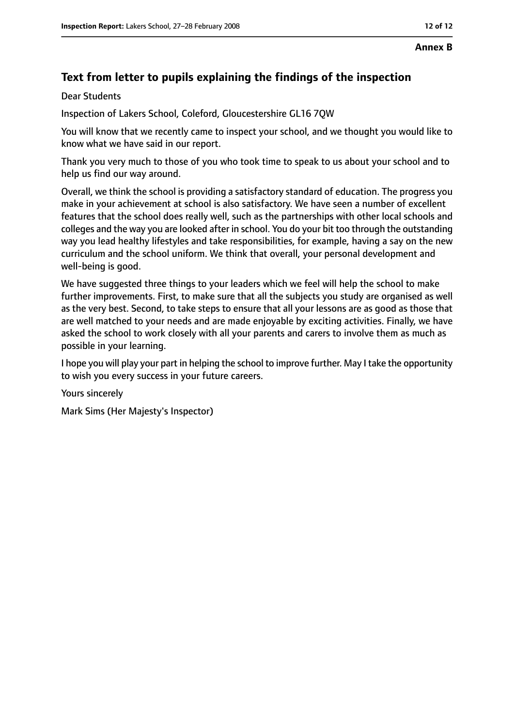## **Text from letter to pupils explaining the findings of the inspection**

Dear Students

Inspection of Lakers School, Coleford, Gloucestershire GL16 7QW

You will know that we recently came to inspect your school, and we thought you would like to know what we have said in our report.

Thank you very much to those of you who took time to speak to us about your school and to help us find our way around.

Overall, we think the school is providing a satisfactory standard of education. The progress you make in your achievement at school is also satisfactory. We have seen a number of excellent features that the school does really well, such as the partnerships with other local schools and colleges and the way you are looked after in school. You do your bit too through the outstanding way you lead healthy lifestyles and take responsibilities, for example, having a say on the new curriculum and the school uniform. We think that overall, your personal development and well-being is good.

We have suggested three things to your leaders which we feel will help the school to make further improvements. First, to make sure that all the subjects you study are organised as well as the very best. Second, to take steps to ensure that all your lessons are as good as those that are well matched to your needs and are made enjoyable by exciting activities. Finally, we have asked the school to work closely with all your parents and carers to involve them as much as possible in your learning.

I hope you will play your part in helping the school to improve further. May I take the opportunity to wish you every success in your future careers.

Yours sincerely

Mark Sims (Her Majesty's Inspector)